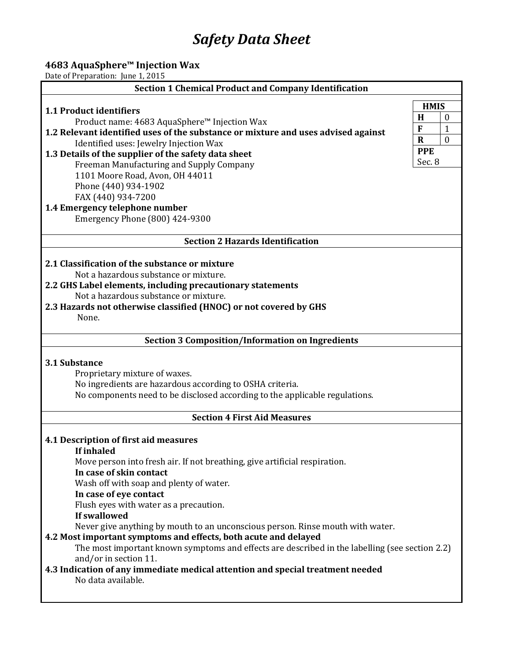# *Safety Data Sheet*

## **4683 AquaSphere™ Injection Wax**

Date of Preparation: June 1, 2015

| <b>Section 1 Chemical Product and Company Identification</b>                                                                                           |  |  |  |  |
|--------------------------------------------------------------------------------------------------------------------------------------------------------|--|--|--|--|
| <b>HMIS</b>                                                                                                                                            |  |  |  |  |
| 1.1 Product identifiers<br>H<br>$\mathbf{0}$                                                                                                           |  |  |  |  |
| Product name: 4683 AquaSphere™ Injection Wax<br>F<br>$\mathbf{1}$<br>1.2 Relevant identified uses of the substance or mixture and uses advised against |  |  |  |  |
| $\theta$<br>$\mathbf R$<br>Identified uses: Jewelry Injection Wax                                                                                      |  |  |  |  |
| <b>PPE</b><br>1.3 Details of the supplier of the safety data sheet                                                                                     |  |  |  |  |
| Sec. 8<br>Freeman Manufacturing and Supply Company                                                                                                     |  |  |  |  |
| 1101 Moore Road, Avon, OH 44011                                                                                                                        |  |  |  |  |
| Phone (440) 934-1902                                                                                                                                   |  |  |  |  |
| FAX (440) 934-7200                                                                                                                                     |  |  |  |  |
| 1.4 Emergency telephone number                                                                                                                         |  |  |  |  |
| Emergency Phone (800) 424-9300                                                                                                                         |  |  |  |  |
| <b>Section 2 Hazards Identification</b>                                                                                                                |  |  |  |  |
| 2.1 Classification of the substance or mixture                                                                                                         |  |  |  |  |
| Not a hazardous substance or mixture.                                                                                                                  |  |  |  |  |
| 2.2 GHS Label elements, including precautionary statements                                                                                             |  |  |  |  |
| Not a hazardous substance or mixture.                                                                                                                  |  |  |  |  |
| 2.3 Hazards not otherwise classified (HNOC) or not covered by GHS                                                                                      |  |  |  |  |
| None.                                                                                                                                                  |  |  |  |  |
|                                                                                                                                                        |  |  |  |  |
| <b>Section 3 Composition/Information on Ingredients</b>                                                                                                |  |  |  |  |
| 3.1 Substance                                                                                                                                          |  |  |  |  |
| Proprietary mixture of waxes.                                                                                                                          |  |  |  |  |
| No ingredients are hazardous according to OSHA criteria.                                                                                               |  |  |  |  |
| No components need to be disclosed according to the applicable regulations.                                                                            |  |  |  |  |
| <b>Section 4 First Aid Measures</b>                                                                                                                    |  |  |  |  |
|                                                                                                                                                        |  |  |  |  |
| 4.1 Description of first aid measures                                                                                                                  |  |  |  |  |
| <b>If inhaled</b>                                                                                                                                      |  |  |  |  |
| Move person into fresh air. If not breathing, give artificial respiration.<br>In case of skin contact                                                  |  |  |  |  |
| Wash off with soap and plenty of water.                                                                                                                |  |  |  |  |
| In case of eye contact                                                                                                                                 |  |  |  |  |
| Flush eyes with water as a precaution.                                                                                                                 |  |  |  |  |
| If swallowed                                                                                                                                           |  |  |  |  |
| Never give anything by mouth to an unconscious person. Rinse mouth with water.                                                                         |  |  |  |  |
| 4.2 Most important symptoms and effects, both acute and delayed                                                                                        |  |  |  |  |
| The most important known symptoms and effects are described in the labelling (see section 2.2)                                                         |  |  |  |  |
| and/or in section 11.                                                                                                                                  |  |  |  |  |
| 4.3 Indication of any immediate medical attention and special treatment needed                                                                         |  |  |  |  |
| No data available.                                                                                                                                     |  |  |  |  |
|                                                                                                                                                        |  |  |  |  |
|                                                                                                                                                        |  |  |  |  |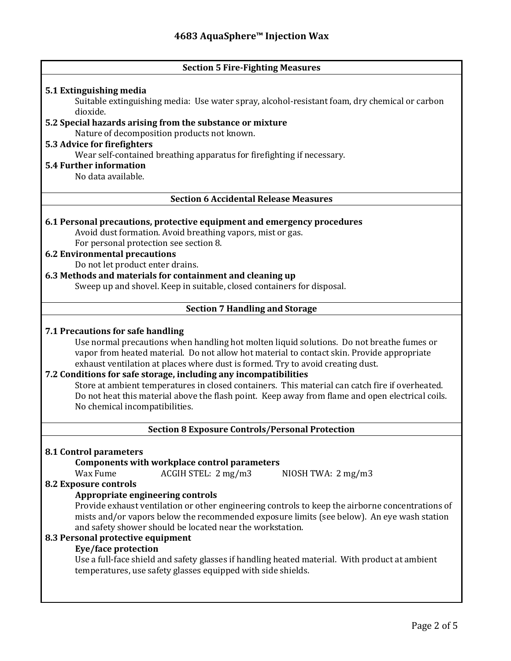| <b>Section 5 Fire-Fighting Measures</b>                                                          |  |  |  |
|--------------------------------------------------------------------------------------------------|--|--|--|
|                                                                                                  |  |  |  |
| 5.1 Extinguishing media                                                                          |  |  |  |
| Suitable extinguishing media: Use water spray, alcohol-resistant foam, dry chemical or carbon    |  |  |  |
| dioxide.                                                                                         |  |  |  |
| 5.2 Special hazards arising from the substance or mixture                                        |  |  |  |
| Nature of decomposition products not known.                                                      |  |  |  |
| 5.3 Advice for firefighters                                                                      |  |  |  |
| Wear self-contained breathing apparatus for firefighting if necessary.                           |  |  |  |
| <b>5.4 Further information</b>                                                                   |  |  |  |
| No data available.                                                                               |  |  |  |
|                                                                                                  |  |  |  |
| <b>Section 6 Accidental Release Measures</b>                                                     |  |  |  |
|                                                                                                  |  |  |  |
| 6.1 Personal precautions, protective equipment and emergency procedures                          |  |  |  |
| Avoid dust formation. Avoid breathing vapors, mist or gas.                                       |  |  |  |
| For personal protection see section 8.                                                           |  |  |  |
| <b>6.2 Environmental precautions</b>                                                             |  |  |  |
| Do not let product enter drains.                                                                 |  |  |  |
| 6.3 Methods and materials for containment and cleaning up                                        |  |  |  |
| Sweep up and shovel. Keep in suitable, closed containers for disposal.                           |  |  |  |
|                                                                                                  |  |  |  |
|                                                                                                  |  |  |  |
| <b>Section 7 Handling and Storage</b>                                                            |  |  |  |
|                                                                                                  |  |  |  |
| 7.1 Precautions for safe handling                                                                |  |  |  |
| Use normal precautions when handling hot molten liquid solutions. Do not breathe fumes or        |  |  |  |
| vapor from heated material. Do not allow hot material to contact skin. Provide appropriate       |  |  |  |
| exhaust ventilation at places where dust is formed. Try to avoid creating dust.                  |  |  |  |
| 7.2 Conditions for safe storage, including any incompatibilities                                 |  |  |  |
| Store at ambient temperatures in closed containers. This material can catch fire if overheated.  |  |  |  |
| Do not heat this material above the flash point. Keep away from flame and open electrical coils. |  |  |  |
| No chemical incompatibilities.                                                                   |  |  |  |
|                                                                                                  |  |  |  |
| <b>Section 8 Exposure Controls/Personal Protection</b>                                           |  |  |  |
|                                                                                                  |  |  |  |
| <b>8.1 Control parameters</b>                                                                    |  |  |  |
| Components with workplace control parameters                                                     |  |  |  |
| Wax Fume<br>ACGIH STEL: 2 mg/m3<br>NIOSH TWA: $2 \text{ mg/m}$ 3                                 |  |  |  |
| <b>8.2 Exposure controls</b>                                                                     |  |  |  |
| Appropriate engineering controls                                                                 |  |  |  |
| Provide exhaust ventilation or other engineering controls to keep the airborne concentrations of |  |  |  |
| mists and/or vapors below the recommended exposure limits (see below). An eye wash station       |  |  |  |
| and safety shower should be located near the workstation.                                        |  |  |  |
| 8.3 Personal protective equipment                                                                |  |  |  |
| Eye/face protection                                                                              |  |  |  |
| Use a full-face shield and safety glasses if handling heated material. With product at ambient   |  |  |  |
| temperatures, use safety glasses equipped with side shields.                                     |  |  |  |
|                                                                                                  |  |  |  |
|                                                                                                  |  |  |  |
|                                                                                                  |  |  |  |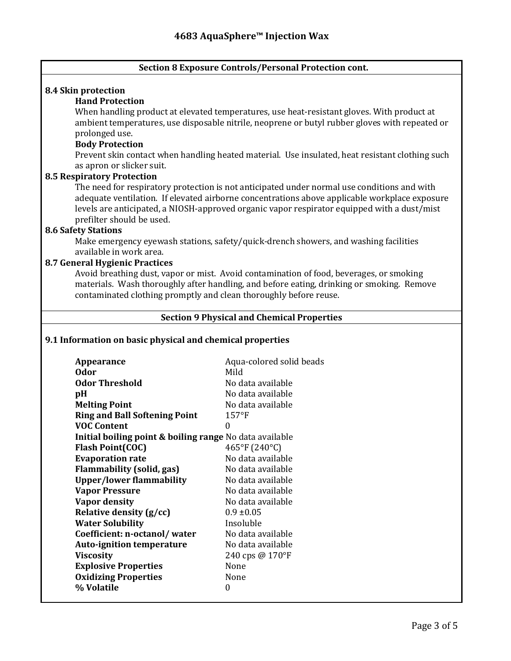## **Section 8 Exposure Controls/Personal Protection cont.**

## **8.4 Skin protection**

## **Hand Protection**

When handling product at elevated temperatures, use heat-resistant gloves. With product at ambient temperatures, use disposable nitrile, neoprene or butyl rubber gloves with repeated or prolonged use.

## **Body Protection**

Prevent skin contact when handling heated material. Use insulated, heat resistant clothing such as apron or slicker suit.

#### **8.5 Respiratory Protection**

The need for respiratory protection is not anticipated under normal use conditions and with adequate ventilation. If elevated airborne concentrations above applicable workplace exposure levels are anticipated, a NIOSH-approved organic vapor respirator equipped with a dust/mist prefilter should be used.

## **8.6 Safety Stations**

Make emergency eyewash stations, safety/quick-drench showers, and washing facilities available in work area.

#### **8.7 General Hygienic Practices**

Avoid breathing dust, vapor or mist. Avoid contamination of food, beverages, or smoking materials. Wash thoroughly after handling, and before eating, drinking or smoking. Remove contaminated clothing promptly and clean thoroughly before reuse.

## **Section 9 Physical and Chemical Properties**

## **9.1 Information on basic physical and chemical properties**

| Appearance                                                         | Aqua-colored solid beads |  |  |
|--------------------------------------------------------------------|--------------------------|--|--|
| <b>Odor</b>                                                        | Mild                     |  |  |
| <b>Odor Threshold</b>                                              | No data available        |  |  |
| pH                                                                 | No data available        |  |  |
| <b>Melting Point</b>                                               | No data available        |  |  |
| <b>Ring and Ball Softening Point</b>                               | $157$ °F                 |  |  |
| <b>VOC Content</b>                                                 | 0                        |  |  |
| <b>Initial boiling point &amp; boiling range</b> No data available |                          |  |  |
| <b>Flash Point(COC)</b>                                            | 465°F (240°C)            |  |  |
| <b>Evaporation rate</b>                                            | No data available        |  |  |
| <b>Flammability (solid, gas)</b>                                   | No data available        |  |  |
| <b>Upper/lower flammability</b>                                    | No data available        |  |  |
| <b>Vapor Pressure</b>                                              | No data available        |  |  |
| <b>Vapor density</b>                                               | No data available        |  |  |
| Relative density (g/cc)                                            | $0.9 \pm 0.05$           |  |  |
| <b>Water Solubility</b>                                            | Insoluble                |  |  |
| Coefficient: n-octanol/water                                       | No data available        |  |  |
| <b>Auto-ignition temperature</b>                                   | No data available        |  |  |
| <b>Viscosity</b>                                                   | 240 cps @ 170°F          |  |  |
| <b>Explosive Properties</b>                                        | None                     |  |  |
| <b>Oxidizing Properties</b>                                        | None                     |  |  |
| % Volatile                                                         | 0                        |  |  |
|                                                                    |                          |  |  |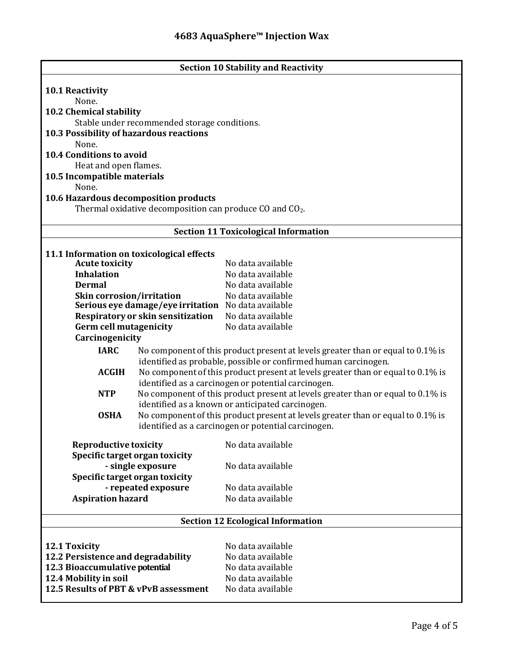| <b>Section 10 Stability and Reactivity</b>                                                    |                                                                                                                                     |                                                                                 |  |  |
|-----------------------------------------------------------------------------------------------|-------------------------------------------------------------------------------------------------------------------------------------|---------------------------------------------------------------------------------|--|--|
| <b>10.1 Reactivity</b>                                                                        |                                                                                                                                     |                                                                                 |  |  |
| None.                                                                                         |                                                                                                                                     |                                                                                 |  |  |
| 10.2 Chemical stability                                                                       |                                                                                                                                     |                                                                                 |  |  |
|                                                                                               | Stable under recommended storage conditions.                                                                                        |                                                                                 |  |  |
| 10.3 Possibility of hazardous reactions                                                       |                                                                                                                                     |                                                                                 |  |  |
| None.                                                                                         |                                                                                                                                     |                                                                                 |  |  |
| <b>10.4 Conditions to avoid</b>                                                               |                                                                                                                                     |                                                                                 |  |  |
| Heat and open flames.<br>10.5 Incompatible materials                                          |                                                                                                                                     |                                                                                 |  |  |
| None.                                                                                         |                                                                                                                                     |                                                                                 |  |  |
| 10.6 Hazardous decomposition products                                                         |                                                                                                                                     |                                                                                 |  |  |
| Thermal oxidative decomposition can produce CO and CO <sub>2</sub> .                          |                                                                                                                                     |                                                                                 |  |  |
|                                                                                               |                                                                                                                                     |                                                                                 |  |  |
| <b>Section 11 Toxicological Information</b>                                                   |                                                                                                                                     |                                                                                 |  |  |
| 11.1 Information on toxicological effects                                                     |                                                                                                                                     |                                                                                 |  |  |
| <b>Acute toxicity</b>                                                                         |                                                                                                                                     | No data available                                                               |  |  |
| <b>Inhalation</b>                                                                             |                                                                                                                                     | No data available                                                               |  |  |
| <b>Dermal</b>                                                                                 |                                                                                                                                     | No data available                                                               |  |  |
| <b>Skin corrosion/irritation</b>                                                              | Serious eye damage/eye irritation No data available                                                                                 | No data available                                                               |  |  |
|                                                                                               | Respiratory or skin sensitization                                                                                                   | No data available                                                               |  |  |
| <b>Germ cell mutagenicity</b>                                                                 |                                                                                                                                     | No data available                                                               |  |  |
| Carcinogenicity                                                                               |                                                                                                                                     |                                                                                 |  |  |
| <b>IARC</b>                                                                                   |                                                                                                                                     | No component of this product present at levels greater than or equal to 0.1% is |  |  |
|                                                                                               |                                                                                                                                     | identified as probable, possible or confirmed human carcinogen.                 |  |  |
|                                                                                               | <b>ACGIH</b><br>No component of this product present at levels greater than or equal to 0.1% is                                     |                                                                                 |  |  |
|                                                                                               | identified as a carcinogen or potential carcinogen.                                                                                 |                                                                                 |  |  |
| No component of this product present at levels greater than or equal to 0.1% is<br><b>NTP</b> |                                                                                                                                     |                                                                                 |  |  |
| <b>OSHA</b>                                                                                   | identified as a known or anticipated carcinogen.<br>No component of this product present at levels greater than or equal to 0.1% is |                                                                                 |  |  |
| identified as a carcinogen or potential carcinogen.                                           |                                                                                                                                     |                                                                                 |  |  |
| <b>Reproductive toxicity</b>                                                                  |                                                                                                                                     | No data available                                                               |  |  |
| Specific target organ toxicity                                                                |                                                                                                                                     |                                                                                 |  |  |
|                                                                                               | - single exposure                                                                                                                   | No data available                                                               |  |  |
| Specific target organ toxicity                                                                |                                                                                                                                     |                                                                                 |  |  |
|                                                                                               | - repeated exposure                                                                                                                 | No data available                                                               |  |  |
| <b>Aspiration hazard</b>                                                                      |                                                                                                                                     | No data available                                                               |  |  |
| <b>Section 12 Ecological Information</b>                                                      |                                                                                                                                     |                                                                                 |  |  |
|                                                                                               |                                                                                                                                     |                                                                                 |  |  |
| 12.1 Toxicity                                                                                 |                                                                                                                                     | No data available                                                               |  |  |
| 12.2 Persistence and degradability                                                            |                                                                                                                                     | No data available                                                               |  |  |
| 12.3 Bioaccumulative potential                                                                |                                                                                                                                     | No data available                                                               |  |  |
| 12.4 Mobility in soil<br>12.5 Results of PBT & vPvB assessment                                |                                                                                                                                     | No data available                                                               |  |  |
|                                                                                               |                                                                                                                                     | No data available                                                               |  |  |